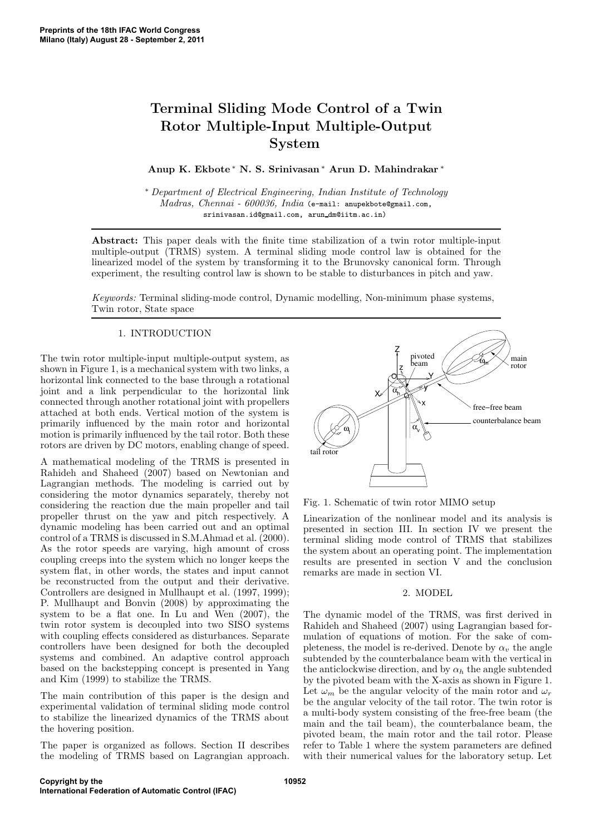# Terminal Sliding Mode Control of a Twin Rotor Multiple-Input Multiple-Output System

Anup K. Ekbote <sup>∗</sup> N. S. Srinivasan <sup>∗</sup> Arun D. Mahindrakar ∗

<sup>∗</sup> *Department of Electrical Engineering, Indian Institute of Technology Madras, Chennai - 600036, India* (e-mail: anupekbote@gmail.com, srinivasan.id@gmail.com, arun dm@iitm.ac.in)

Abstract: This paper deals with the finite time stabilization of a twin rotor multiple-input multiple-output (TRMS) system. A terminal sliding mode control law is obtained for the linearized model of the system by transforming it to the Brunovsky canonical form. Through experiment, the resulting control law is shown to be stable to disturbances in pitch and yaw.

*Keywords:* Terminal sliding-mode control, Dynamic modelling, Non-minimum phase systems, Twin rotor, State space

## 1. INTRODUCTION

The twin rotor multiple-input multiple-output system, as shown in Figure 1, is a mechanical system with two links, a horizontal link connected to the base through a rotational joint and a link perpendicular to the horizontal link connected through another rotational joint with propellers attached at both ends. Vertical motion of the system is primarily influenced by the main rotor and horizontal motion is primarily influenced by the tail rotor. Both these rotors are driven by DC motors, enabling change of speed.

A mathematical modeling of the TRMS is presented in Rahideh and Shaheed (2007) based on Newtonian and Lagrangian methods. The modeling is carried out by considering the motor dynamics separately, thereby not considering the reaction due the main propeller and tail propeller thrust on the yaw and pitch respectively. A dynamic modeling has been carried out and an optimal control of a TRMS is discussed in S.M.Ahmad et al. (2000). As the rotor speeds are varying, high amount of cross coupling creeps into the system which no longer keeps the system flat, in other words, the states and input cannot be reconstructed from the output and their derivative. Controllers are designed in Mullhaupt et al. (1997, 1999); P. Mullhaupt and Bonvin (2008) by approximating the system to be a flat one. In Lu and Wen (2007), the twin rotor system is decoupled into two SISO systems with coupling effects considered as disturbances. Separate controllers have been designed for both the decoupled systems and combined. An adaptive control approach based on the backstepping concept is presented in Yang and Kim (1999) to stabilize the TRMS.

The main contribution of this paper is the design and experimental validation of terminal sliding mode control to stabilize the linearized dynamics of the TRMS about the hovering position.

The paper is organized as follows. Section II describes the modeling of TRMS based on Lagrangian approach.



Fig. 1. Schematic of twin rotor MIMO setup

Linearization of the nonlinear model and its analysis is presented in section III. In section IV we present the terminal sliding mode control of TRMS that stabilizes the system about an operating point. The implementation results are presented in section V and the conclusion remarks are made in section VI.

## 2. MODEL

The dynamic model of the TRMS, was first derived in Rahideh and Shaheed (2007) using Lagrangian based formulation of equations of motion. For the sake of completeness, the model is re-derived. Denote by  $\alpha_v$  the angle subtended by the counterbalance beam with the vertical in the anticlockwise direction, and by  $\alpha_h$  the angle subtended by the pivoted beam with the X-axis as shown in Figure 1. Let  $\omega_m$  be the angular velocity of the main rotor and  $\omega_r$ be the angular velocity of the tail rotor. The twin rotor is a multi-body system consisting of the free-free beam (the main and the tail beam), the counterbalance beam, the pivoted beam, the main rotor and the tail rotor. Please refer to Table 1 where the system parameters are defined with their numerical values for the laboratory setup. Let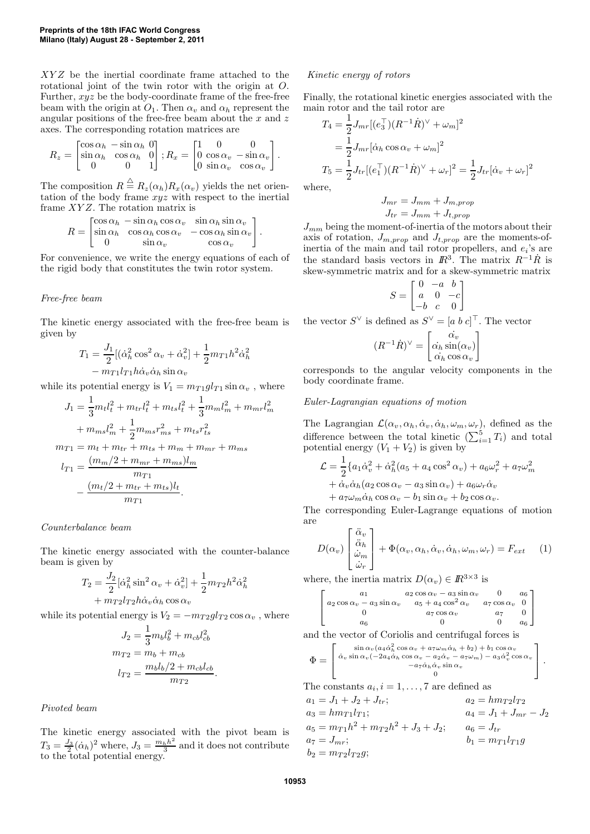XYZ be the inertial coordinate frame attached to the rotational joint of the twin rotor with the origin at O. Further, xyz be the body-coordinate frame of the free-free beam with the origin at  $O_1$ . Then  $\alpha_v$  and  $\alpha_h$  represent the angular positions of the free-free beam about the  $x$  and  $z$ axes. The corresponding rotation matrices are

$$
R_z = \begin{bmatrix} \cos \alpha_h & -\sin \alpha_h & 0 \\ \sin \alpha_h & \cos \alpha_h & 0 \\ 0 & 0 & 1 \end{bmatrix}; R_x = \begin{bmatrix} 1 & 0 & 0 \\ 0 & \cos \alpha_v & -\sin \alpha_v \\ 0 & \sin \alpha_v & \cos \alpha_v \end{bmatrix}.
$$

The composition  $R \stackrel{\triangle}{=} R_z(\alpha_h)R_x(\alpha_v)$  yields the net orientation of the body frame xyz with respect to the inertial frame XY Z. The rotation matrix is

$$
R = \begin{bmatrix} \cos \alpha_h & -\sin \alpha_h \cos \alpha_v & \sin \alpha_h \sin \alpha_v \\ \sin \alpha_h & \cos \alpha_h \cos \alpha_v & -\cos \alpha_h \sin \alpha_v \\ 0 & \sin \alpha_v & \cos \alpha_v \end{bmatrix}.
$$

For convenience, we write the energy equations of each of the rigid body that constitutes the twin rotor system.

## *Free-free beam*

The kinetic energy associated with the free-free beam is given by

$$
T_1 = \frac{J_1}{2} [(\dot{\alpha}_h^2 \cos^2 \alpha_v + \dot{\alpha}_v^2] + \frac{1}{2} m_{T1} h^2 \dot{\alpha}_h^2
$$

$$
- m_{T1} l_{T1} h \dot{\alpha}_v \dot{\alpha}_h \sin \alpha_v
$$

while its potential energy is  $V_1 = m_{T1}gl_{T1} \sin \alpha_v$ , where

$$
J_1 = \frac{1}{3}m_t l_t^2 + m_{tr} l_t^2 + m_{ts} l_t^2 + \frac{1}{3}m_m l_m^2 + m_{mr} l
$$
  
+  $m_{ms}l_m^2 + \frac{1}{2}m_{ms}r_{ms}^2 + m_{ts}r_{ts}^2$   

$$
m_{T1} = m_t + m_{tr} + m_{ts} + m_m + m_{mr} + m_{ms}
$$
  

$$
l_{T1} = \frac{(m_m/2 + m_{mr} + m_{ms})l_m}{m_{T1}}
$$
  
-  $\frac{(m_t/2 + m_{tr} + m_{ts})l_t}{m_{T1}}$ .

#### *Counterbalance beam*

The kinetic energy associated with the counter-balance beam is given by

$$
T_2 = \frac{J_2}{2} [\dot{\alpha}_h^2 \sin^2 \alpha_v + \dot{\alpha}_v^2] + \frac{1}{2} m_{T2} h^2 \dot{\alpha}_h^2
$$

$$
+ m_{T2} l_{T2} h \dot{\alpha}_v \dot{\alpha}_h \cos \alpha_v
$$

while its potential energy is  $V_2 = -m_{T2}gl_{T2} \cos \alpha_v$ , where

$$
J_2 = \frac{1}{3} m_b l_b^2 + m_{cb} l_{cb}^2
$$
  
\n
$$
m_{T2} = m_b + m_{cb}
$$
  
\n
$$
l_{T2} = \frac{m_b l_b / 2 + m_{cb} l_{cb}}{m_{T2}}.
$$

*Pivoted beam*

The kinetic energy associated with the pivot beam is  $T_3 = \frac{J_3}{2} (\dot{\alpha}_h)^2$  where,  $J_3 = \frac{m_h h^2}{3}$  $\frac{h h^2}{3}$  and it does not contribute to the total potential energy.

## *Kinetic energy of rotors*

Finally, the rotational kinetic energies associated with the main rotor and the tail rotor are

$$
T_4 = \frac{1}{2} J_{mr} [(e_3^\top)(R^{-1}\dot{R})^\vee + \omega_m]^2
$$
  
=  $\frac{1}{2} J_{mr} [\dot{\alpha}_h \cos \alpha_v + \omega_m]^2$   

$$
T_5 = \frac{1}{2} J_{tr} [(e_1^\top)(R^{-1}\dot{R})^\vee + \omega_r]^2 = \frac{1}{2} J_{tr} [\dot{\alpha}_v + \omega_r]^2
$$

where,

 $\frac{2}{m}$ 

$$
J_{mr} = J_{mm} + J_{m,prop}
$$

$$
J_{tr} = J_{mm} + J_{t,prop}
$$

 $J_{mm}$  being the moment-of-inertia of the motors about their axis of rotation,  $J_{m,prop}$  and  $J_{t,prop}$  are the moments-ofinertia of the main and tail rotor propellers, and  $e_i$ 's are the standard basis vectors in  $\mathbb{R}^3$ . The matrix  $R^{-1}\dot{R}$  is skew-symmetric matrix and for a skew-symmetric matrix

$$
S = \begin{bmatrix} 0 & -a & b \\ a & 0 & -c \\ -b & c & 0 \end{bmatrix}
$$

the vector  $S^{\vee}$  is defined as  $S^{\vee} = [a \; b \; c]^{\top}$ . The vector

$$
(R^{-1}\dot{R})^{\vee} = \begin{bmatrix} \alpha_v \\ \alpha_h \sin(\alpha_v) \\ \dot{\alpha}_h \cos \alpha_v \end{bmatrix}
$$

corresponds to the angular velocity components in the body coordinate frame.

### *Euler-Lagrangian equations of motion*

The Lagrangian  $\mathcal{L}(\alpha_v, \alpha_h, \dot{\alpha}_v, \dot{\alpha}_h, \omega_m, \omega_r)$ , defined as the difference between the total kinetic  $(\sum_{i=1}^{5} T_i)$  and total potential energy  $(V_1 + V_2)$  is given by

$$
\mathcal{L} = \frac{1}{2} \{ a_1 \dot{\alpha}_v^2 + \dot{\alpha}_h^2 (a_5 + a_4 \cos^2 \alpha_v) + a_6 \omega_r^2 + a_7 \omega_m^2 \n+ \dot{\alpha}_v \dot{\alpha}_h (a_2 \cos \alpha_v - a_3 \sin \alpha_v) + a_6 \omega_r \dot{\alpha}_v \n+ a_7 \omega_m \dot{\alpha}_h \cos \alpha_v - b_1 \sin \alpha_v + b_2 \cos \alpha_v.
$$

The corresponding Euler-Lagrange equations of motion are

$$
D(\alpha_v) \begin{bmatrix} \ddot{\alpha}_v \\ \ddot{\alpha}_h \\ \dot{\omega}_m \\ \dot{\omega}_r \end{bmatrix} + \Phi(\alpha_v, \alpha_h, \dot{\alpha}_v, \dot{\alpha}_h, \omega_m, \omega_r) = F_{ext} \qquad (1)
$$

where, the inertia matrix  $D(\alpha_v) \in \mathbb{R}^{3 \times 3}$  is

$$
\begin{bmatrix}\n a_1 & a_2 \cos \alpha_v - a_3 \sin \alpha_v & 0 & a_6 \\
 a_2 \cos \alpha_v - a_3 \sin \alpha_v & a_5 + a_4 \cos^2 \alpha_v & a_7 \cos \alpha_v & 0 \\
 0 & a_7 \cos \alpha_v & a_7 & 0 \\
 a_6 & 0 & 0 & a_6\n\end{bmatrix}
$$

and the vector of Coriolis and centrifugal forces is

$$
\Phi = \begin{bmatrix}\n\sin \alpha_v (a_4 \dot{\alpha}_h^2 \cos \alpha_v + a_7 \omega_m \dot{\alpha}_h + b_2) + b_1 \cos \alpha_v \\
\dot{\alpha}_v \sin \alpha_v (-2a_4 \dot{\alpha}_h \cos \alpha_v - a_2 \dot{\alpha}_v - a_7 \omega_m) - a_3 \dot{\alpha}_v^2 \cos \alpha_v \\
-a_7 \dot{\alpha}_h \dot{\alpha}_v \sin \alpha_v \\
0\n\end{bmatrix}.
$$

The constants  $a_i, i = 1, \ldots, 7$  are defined as

 $a_1 = J_1 + J_2 + J_{tr};$   $a_2 = h m_{T2} l_{T2}$  $a_3 = h m_{T1} l_{T1};$   $a_4 = J_1 + J_{mr} - J_2$  $a_5 = m_{T1}h^2 + m_{T2}h^2 + J_3 + J_2;$   $a_6 = J_{tr}$  $a_7 = J_{mr};$   $b_1 = m_{T1}l_{T1}g$  $b_2 = m_{T2}l_{T2}g;$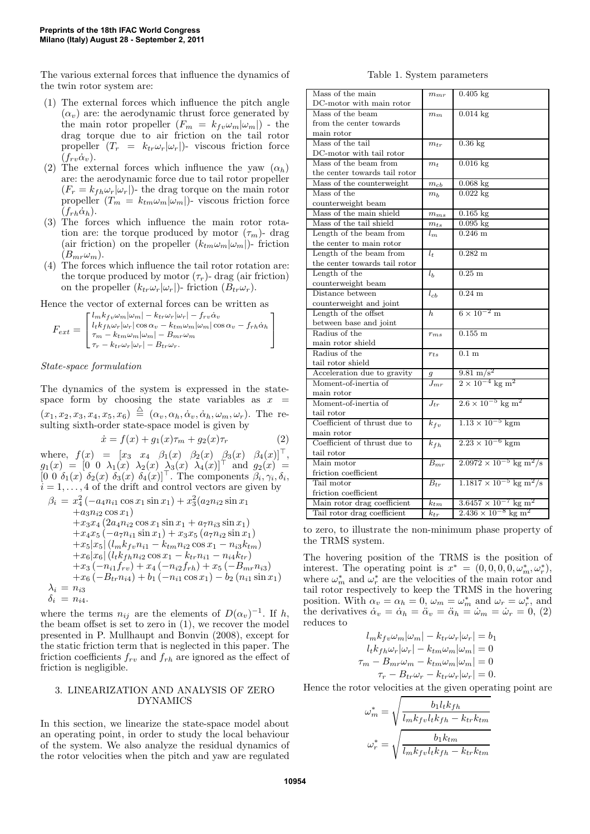The various external forces that influence the dynamics of the twin rotor system are:

- (1) The external forces which influence the pitch angle  $(\alpha_v)$  are: the aerodynamic thrust force generated by the main rotor propeller  $(F_m = k_{fv} \omega_m |\omega_m|)$  - the drag torque due to air friction on the tail rotor propeller  $(T_r = k_{tr} \omega_r |\omega_r|)$ - viscous friction force  $(f_{rv}\dot{\alpha}_v).$
- (2) The external forces which influence the yaw  $(\alpha_h)$ are: the aerodynamic force due to tail rotor propeller  $(F_r = k_{fh}\omega_r|\omega_r|)$ - the drag torque on the main rotor propeller  $(T_m = k_{tm}\omega_m|\omega_m|)$ - viscous friction force  $(f_{rh}\dot{\alpha}_h).$
- (3) The forces which influence the main rotor rotation are: the torque produced by motor  $(\tau_m)$ - drag (air friction) on the propeller  $(k_{tm}\omega_m|\omega_m|)$ - friction  $(B_{mr}\omega_m)$ .
- (4) The forces which influence the tail rotor rotation are: the torque produced by motor  $(\tau_r)$ - drag (air friction) on the propeller  $(k_{tr}\omega_r|\omega_r|)$ - friction  $(B_{tr}\omega_r)$ .

Hence the vector of external forces can be written as

$$
F_{ext} = \begin{bmatrix} l_{mkfv}\omega_m|\omega_m| - k_{tr}\omega_r|\omega_r| - f_{rv}\dot{\alpha}_v\\ l_t k_{fh}\omega_r|\omega_r|\cos\alpha_v - k_{tm}\omega_m|\omega_m|\cos\alpha_v - f_{rh}\dot{\alpha}_h\\ \tau_m - k_{tm}\omega_m|\omega_m| - B_{mr}\omega_m\\ \tau_r - k_{tr}\omega_r|\omega_r| - B_{tr}\omega_r. \end{bmatrix}
$$

*State-space formulation*

The dynamics of the system is expressed in the statespace form by choosing the state variables as  $x =$  $(x_1, x_2, x_3, x_4, x_5, x_6) \triangleq (\alpha_v, \alpha_h, \dot{\alpha}_v, \dot{\alpha}_h, \omega_m, \omega_r)$ . The resulting sixth-order state-space model is given by

$$
\dot{x} = f(x) + g_1(x)\tau_m + g_2(x)\tau_r \tag{2}
$$

where,  $f(x) = [x_3 \ x_4 \ \beta_1(x) \ \beta_2(x) \ \beta_3(x) \ \beta_4(x)]^{\top}$ ,  $g_1(x) = [0 \ 0 \ \lambda_1(x) \ \lambda_2(x) \ \lambda_3(x) \ \lambda_4(x)]^{\top}$  and  $g_2(x) =$  $[0\;0\;\delta_1(x)\;\delta_2(x)\;\delta_3(x)\;\delta_4(x)]^{\top}$ . The components  $\beta_i, \gamma_i, \delta_i,$  $i = 1, \ldots, 4$  of the drift and control vectors are given by

$$
\beta_i = x_4^2 (-a_4 n_{i1} \cos x_1 \sin x_1) + x_3^2 (a_2 n_{i2} \sin x_1 \n+ a_3 n_{i2} \cos x_1) \n+ x_3 x_4 (2a_4 n_{i2} \cos x_1 \sin x_1 + a_7 n_{i3} \sin x_1) \n+ x_4 x_5 (-a_7 n_{i1} \sin x_1) + x_3 x_5 (a_7 n_{i2} \sin x_1) \n+ x_5 |x_5 | (l_m k_{fv} n_{i1} - k_{tm} n_{i2} \cos x_1 - n_{i3} k_{tm}) \n+ x_6 |x_6 | (l_{tk} k_{fh} n_{i2} \cos x_1 - k_{tr} n_{i1} - n_{i4} k_{tr}) \n+ x_3 (-n_{i1} f_{rv}) + x_4 (-n_{i2} f_{rh}) + x_5 (-B_{mr} n_{i3}) \n+ x_6 (-B_{tr} n_{i4}) + b_1 (-n_{i1} \cos x_1) - b_2 (n_{i1} \sin x_1) \n\lambda_i = n_{i3} \n\delta_i = n_{i4}.
$$

where the terms  $n_{ij}$  are the elements of  $D(\alpha_v)^{-1}$ . If h, the beam offset is set to zero in (1), we recover the model presented in P. Mullhaupt and Bonvin (2008), except for the static friction term that is neglected in this paper. The friction coefficients  $f_{rv}$  and  $f_{rh}$  are ignored as the effect of friction is negligible.

## 3. LINEARIZATION AND ANALYSIS OF ZERO DYNAMICS

In this section, we linearize the state-space model about an operating point, in order to study the local behaviour of the system. We also analyze the residual dynamics of the rotor velocities when the pitch and yaw are regulated

Table 1. System parameters

| Mass of the main              | $m_{mr}$            | $0.405$ kg                                       |
|-------------------------------|---------------------|--------------------------------------------------|
| DC-motor with main rotor      |                     |                                                  |
| Mass of the beam              | $m_m$               | $0.014$ kg                                       |
| from the center towards       |                     |                                                  |
| main rotor                    |                     |                                                  |
| Mass of the tail              | $m_{tr}$            | $0.36$ kg                                        |
| DC-motor with tail rotor      |                     |                                                  |
| Mass of the beam from         | $m_t$               | $0.016$ kg                                       |
| the center towards tail rotor |                     |                                                  |
| Mass of the counterweight     | $m_{cb}$            | $0.068$ kg                                       |
| Mass of the                   | $m_h$               | $0.022$ kg                                       |
| counterweight beam            |                     |                                                  |
| Mass of the main shield       | $m_{ms}$            | $0.165$ kg                                       |
| Mass of the tail shield       | $m_{ts}$            | $0.095~\mathrm{kg}$                              |
| Length of the beam from       | $l_m$               | $0.246$ m                                        |
| the center to main rotor      |                     |                                                  |
| Length of the beam from       | $l_t$               | $0.282 \text{ m}$                                |
| the center towards tail rotor |                     |                                                  |
| Length of the                 | l <sub>b</sub>      | $0.25$ m                                         |
| counterweight beam            |                     |                                                  |
| Distance between              | $l_{cb}$            | $0.24$ m                                         |
| counterweight and joint       |                     |                                                  |
| Length of the offset          | h.                  | $6 \times 10^{-2}$ m                             |
| between base and joint        |                     |                                                  |
| Radius of the                 | $r_{ms}$            | $0.155 \; m$                                     |
| main rotor shield             |                     |                                                  |
| Radius of the                 | $r_{ts}$            | $0.1 \text{ m}$                                  |
| tail rotor shield             |                     |                                                  |
| Acceleration due to gravity   | g                   | $\frac{9.81 \text{ m/s}^2}{2}$                   |
| Moment-of-inertia of          | $J_{mr}$            | $2\times10^{-4}$ $\text{kg}\text{ }\mathrm{m}^2$ |
| main rotor                    |                     |                                                  |
| Moment-of-inertia of          | $J_{tr}$            | $2.6 \times 10^{-5}$ kg m <sup>2</sup>           |
| tail rotor                    |                     |                                                  |
| Coefficient of thrust due to  | $k_{fv}$            | $1.13 \times 10^{-5}$ kgm                        |
| main rotor                    |                     |                                                  |
| Coefficient of thrust due to  | $k_{fh}$            | $2.23 \times 10^{-6}$ kgm                        |
| tail rotor                    |                     |                                                  |
| Main motor                    | $\overline{B_{mr}}$ | $2.0972 \times 10^{-5}$ kg m <sup>2</sup> /s     |
| friction coefficient          |                     |                                                  |
| Tail motor                    | $B_{tr}$            | $1.1817 \times 10^{-5}$ kg m <sup>2</sup> /s     |
| friction coefficient          |                     |                                                  |
| Main rotor drag coefficient   | $\overline{k}_{tm}$ | $3.6457 \times 10^{-7}$ kg m <sup>2</sup>        |
| Tail rotor drag coefficient   | $k_{tr}$            | $2.436 \times 10^{-8}$ kg m <sup>2</sup>         |

to zero, to illustrate the non-minimum phase property of the TRMS system.

The hovering position of the TRMS is the position of interest. The operating point is  $x^* = (0, 0, 0, 0, \omega_m^*, \omega_r^*),$ where  $\omega_m^*$  and  $\omega_r^*$  are the velocities of the main rotor and tail rotor respectively to keep the TRMS in the hovering position. With  $\alpha_v = \alpha_h = 0$ ,  $\omega_m = \omega_m^*$  and  $\omega_r = \omega_r^*$ , and the derivatives  $\dot{\alpha}_v = \dot{\alpha}_h = \ddot{\alpha}_v = \ddot{\alpha}_h = \dot{\omega}_m = \dot{\omega}_r = 0$ , (2) reduces to

$$
l_{m}k_{fv}\omega_{m}|\omega_{m}| - k_{tr}\omega_{r}|\omega_{r}| = b_{1}
$$
  
\n
$$
l_{t}k_{fh}\omega_{r}|\omega_{r}| - k_{tm}\omega_{m}|\omega_{m}| = 0
$$
  
\n
$$
\tau_{m} - B_{mr}\omega_{m} - k_{tm}\omega_{m}|\omega_{m}| = 0
$$
  
\n
$$
\tau_{r} - B_{tr}\omega_{r} - k_{tr}\omega_{r}|\omega_{r}| = 0.
$$

Hence the rotor velocities at the given operating point are

$$
\omega_m^* = \sqrt{\frac{b_1 l_t k_{fh}}{l_m k_{fv} l_t k_{fh} - k_{tr} k_{tm}}}
$$

$$
\omega_r^* = \sqrt{\frac{b_1 k_{tm}}{l_m k_{fv} l_t k_{fh} - k_{tr} k_{tm}}}
$$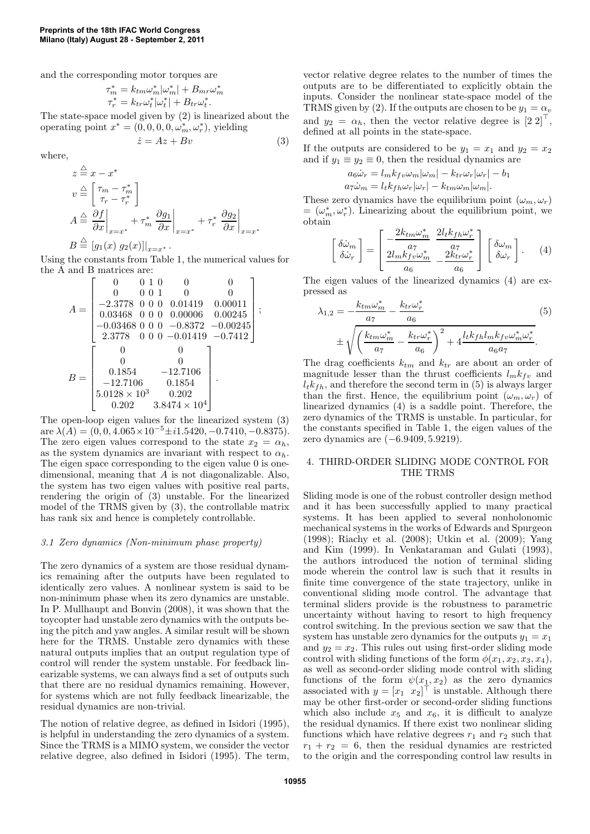and the corresponding motor torques are

$$
\tau_m^* = k_{tm}\omega_m^*|\omega_m^*| + B_{mr}\omega
$$
  

$$
\tau_r^* = k_{tr}\omega_t^*|\omega_t^*| + B_{tr}\omega_t^*.
$$

The state-space model given by (2) is linearized about the operating point  $x^* = (0, 0, 0, 0, \omega_m^*, \omega_r^*)$ , yielding

$$
\dot{z} = Az + Bv \tag{3}
$$

∗ m

where,

$$
z \stackrel{\triangle}{=} x - x^*
$$
  
\n
$$
v \stackrel{\triangle}{=} \begin{bmatrix} \tau_m - \tau_m^* \\ \tau_r - \tau_r^* \end{bmatrix}
$$
  
\n
$$
A \stackrel{\triangle}{=} \frac{\partial f}{\partial x}\bigg|_{x = x^*} + \tau_m^* \frac{\partial g_1}{\partial x}\bigg|_{x = x^*} + \tau_r^* \frac{\partial g_2}{\partial x}\bigg|_{x = x^*}
$$
  
\n
$$
B \stackrel{\triangle}{=} [g_1(x) g_2(x)]|_{x = x^*}.
$$

Using the constants from Table 1, the numerical values for the A and B matrices are:

$$
A = \begin{bmatrix} 0 & 0 & 1 & 0 & 0 & 0 \\ 0 & 0 & 0 & 1 & 0 & 0 \\ -2.3778 & 0 & 0 & 0 & 0.01419 & 0.00011 \\ 0.03468 & 0 & 0 & 0 & 0.00006 & 0.00245 \\ -0.03468 & 0 & 0 & 0 & -0.8372 & -0.00245 \\ 2.3778 & 0 & 0 & 0 & -0.01419 & -0.7412 \end{bmatrix};
$$

$$
B = \begin{bmatrix} 0 & 0 \\ 0 & 0 \\ 0.1854 & -12.7106 \\ -12.7106 & 0.1854 \\ 5.0128 \times 10^3 & 0.202 \\ 0.202 & 3.8474 \times 10^4 \end{bmatrix}.
$$

The open-loop eigen values for the linearized system (3) are  $\lambda(A) = (0, 0, 4.065 \times 10^{-5} \pm i1.5420, -0.7410, -0.8375)$ . The zero eigen values correspond to the state  $x_2 = \alpha_h$ , as the system dynamics are invariant with respect to  $\alpha_h$ . The eigen space corresponding to the eigen value 0 is onedimensional, meaning that A is not diagonalizable. Also, the system has two eigen values with positive real parts, rendering the origin of (3) unstable. For the linearized model of the TRMS given by (3), the controllable matrix has rank six and hence is completely controllable.

### *3.1 Zero dynamics (Non-minimum phase property)*

The zero dynamics of a system are those residual dynamics remaining after the outputs have been regulated to identically zero values. A nonlinear system is said to be non-minimum phase when its zero dynamics are unstable. In P. Mullhaupt and Bonvin (2008), it was shown that the toycopter had unstable zero dynamics with the outputs being the pitch and yaw angles. A similar result will be shown here for the TRMS. Unstable zero dynamics with these natural outputs implies that an output regulation type of control will render the system unstable. For feedback linearizable systems, we can always find a set of outputs such that there are no residual dynamics remaining. However, for systems which are not fully feedback linearizable, the residual dynamics are non-trivial.

The notion of relative degree, as defined in Isidori (1995), is helpful in understanding the zero dynamics of a system. Since the TRMS is a MIMO system, we consider the vector relative degree, also defined in Isidori (1995). The term, vector relative degree relates to the number of times the outputs are to be differentiated to explicitly obtain the inputs. Consider the nonlinear state-space model of the TRMS given by (2). If the outputs are chosen to be  $y_1 = \alpha_v$ and  $y_2 = \alpha_h$ , then the vector relative degree is  $\begin{bmatrix} 2 & 2 \end{bmatrix}^\top$ , defined at all points in the state-space.

If the outputs are considered to be  $y_1 = x_1$  and  $y_2 = x_2$ and if  $y_1 \equiv y_2 \equiv 0$ , then the residual dynamics are

$$
a_6\dot{\omega}_r = l_m k_{fv}\omega_m|\omega_m| - k_{tr}\omega_r|\omega_r| - b_1
$$
  

$$
a_7\dot{\omega}_m = l_t k_{fh}\omega_r|\omega_r| - k_{tm}\omega_m|\omega_m|.
$$

These zero dynamics have the equilibrium point  $(\omega_m, \omega_r)$  $=(\omega_m^*, \omega_r^*)$ . Linearizing about the equilibrium point, we obtain

$$
\begin{bmatrix}\n\delta\dot{\omega}_m \\
\delta\dot{\omega}_r\n\end{bmatrix} = \begin{bmatrix}\n\frac{2k_{tm}\omega_m^*}{a_7} & \frac{2l_t k_{fh}\omega_r^*}{a_7} \\
\frac{2l_m k_{fv}\omega_m^*}{a_6} & -\frac{2k_{tr}\omega_r^*}{a_6}\n\end{bmatrix} \begin{bmatrix}\n\delta\omega_m \\
\delta\omega_r\n\end{bmatrix}.
$$
\n(4)

The eigen values of the linearized dynamics (4) are expressed as

$$
\lambda_{1,2} = -\frac{k_{tm}\omega_m^*}{a_7} - \frac{k_{tr}\omega_r^*}{a_6}
$$
\n
$$
\pm \sqrt{\left(\frac{k_{tm}\omega_m^*}{a_7} - \frac{k_{tr}\omega_r^*}{a_6}\right)^2 + 4\frac{l_t k_{fh}l_m k_{fv}\omega_m^*\omega_r^*}{a_6 a_7}}.
$$
\n(5)

The drag coefficients  $k_{tm}$  and  $k_{tr}$  are about an order of magnitude lesser than the thrust coefficients  $l_m k_{fv}$  and  $l_t k_{fh}$ , and therefore the second term in (5) is always larger than the first. Hence, the equilibrium point  $(\omega_m, \omega_r)$  of linearized dynamics (4) is a saddle point. Therefore, the zero dynamics of the TRMS is unstable. In particular, for the constants specified in Table 1, the eigen values of the zero dynamics are (−6.9409, 5.9219).

## 4. THIRD-ORDER SLIDING MODE CONTROL FOR THE TRMS

Sliding mode is one of the robust controller design method and it has been successfully applied to many practical systems. It has been applied to several nonholonomic mechanical systems in the works of Edwards and Spurgeon (1998); Riachy et al. (2008); Utkin et al. (2009); Yang and Kim (1999). In Venkataraman and Gulati (1993), the authors introduced the notion of terminal sliding mode wherein the control law is such that it results in finite time convergence of the state trajectory, unlike in conventional sliding mode control. The advantage that terminal sliders provide is the robustness to parametric uncertainty without having to resort to high frequency control switching. In the previous section we saw that the system has unstable zero dynamics for the outputs  $y_1 = x_1$ and  $y_2 = x_2$ . This rules out using first-order sliding mode control with sliding functions of the form  $\phi(x_1, x_2, x_3, x_4)$ , as well as second-order sliding mode control with sliding functions of the form  $\psi(x_1, x_2)$  as the zero dynamics associated with  $y = \begin{bmatrix} x_1 & x_2 \end{bmatrix}^\dagger$  is unstable. Although there may be other first-order or second-order sliding functions which also include  $x_5$  and  $x_6$ , it is difficult to analyze the residual dynamics. If there exist two nonlinear sliding functions which have relative degrees  $r_1$  and  $r_2$  such that  $r_1 + r_2 = 6$ , then the residual dynamics are restricted to the origin and the corresponding control law results in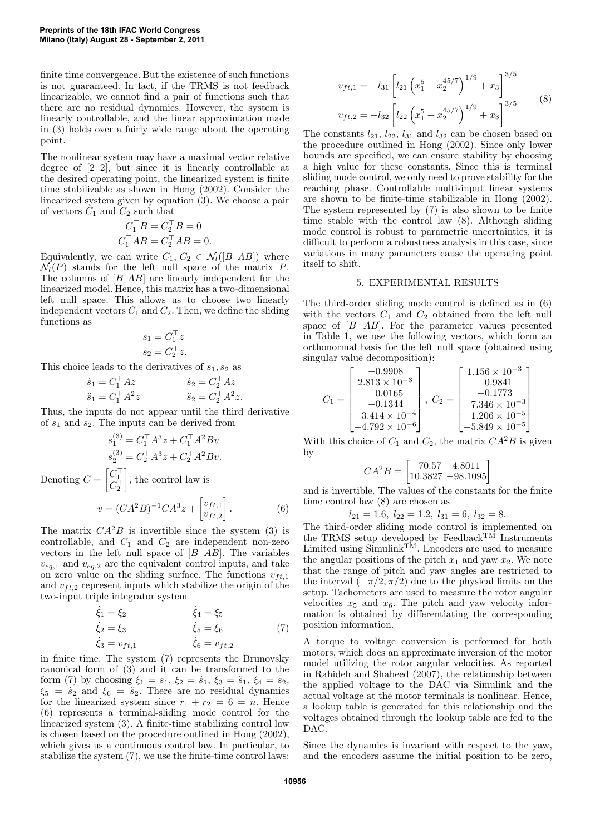finite time convergence. But the existence of such functions is not guaranteed. In fact, if the TRMS is not feedback linearizable, we cannot find a pair of functions such that there are no residual dynamics. However, the system is linearly controllable, and the linear approximation made in (3) holds over a fairly wide range about the operating point.

The nonlinear system may have a maximal vector relative degree of [2 2], but since it is linearly controllable at the desired operating point, the linearized system is finite time stabilizable as shown in Hong (2002). Consider the linearized system given by equation (3). We choose a pair of vectors  $C_1$  and  $C_2$  such that

$$
C_1^{\top}B = C_2^{\top}B = 0
$$
  

$$
C_1^{\top}AB = C_2^{\top}AB = 0.
$$

Equivalently, we can write  $C_1, C_2 \in \mathcal{N}_l([B \ AB])$  where  $\mathcal{N}_l(P)$  stands for the left null space of the matrix P. The columns of [B AB] are linearly independent for the linearized model. Hence, this matrix has a two-dimensional left null space. This allows us to choose two linearly independent vectors  $C_1$  and  $C_2$ . Then, we define the sliding functions as

$$
s_1 = C_1^{\top} z
$$
  

$$
s_2 = C_2^{\top} z.
$$

This choice leads to the derivatives of  $s_1, s_2$  as

$$
\begin{aligned}\n\dot{s}_1 &= C_1^\top A z & \dot{s}_2 &= C_2^\top A z \\
\ddot{s}_1 &= C_1^\top A^2 z & \ddot{s}_2 &= C_2^\top A^2 z.\n\end{aligned}
$$

Thus, the inputs do not appear until the third derivative of  $s_1$  and  $s_2$ . The inputs can be derived from

$$
s_1^{(3)} = C_1^{\top} A^3 z + C_1^{\top} A^2 B v
$$
  
\n
$$
s_2^{(3)} = C_2^{\top} A^3 z + C_2^{\top} A^2 B v.
$$
  
\nDenoting  $C = \begin{bmatrix} C_1^{\top} \\ C_2^{\top} \end{bmatrix}$ , the control law is  
\n
$$
v = (CA^2B)^{-1}CA^3 z + \begin{bmatrix} v_{ft,1} \\ v_{ft,2} \end{bmatrix}.
$$
 (6)

The matrix  $CA^2B$  is invertible since the system (3) is controllable, and  $C_1$  and  $C_2$  are independent non-zero vectors in the left null space of  $[B \ AB]$ . The variables  $v_{eq,1}$  and  $v_{eq,2}$  are the equivalent control inputs, and take on zero value on the sliding surface. The functions  $v_{ft,1}$ and  $v_{ft,2}$  represent inputs which stabilize the origin of the two-input triple integrator system

$$
\begin{aligned}\n\dot{\xi}_1 &= \xi_2 & \dot{\xi}_4 &= \xi_5 \\
\dot{\xi}_2 &= \xi_3 & \dot{\xi}_5 &= \xi_6 \\
\dot{\xi}_3 &= v_{ft,1} & \dot{\xi}_6 &= v_{ft,2}\n\end{aligned} (7)
$$

in finite time. The system (7) represents the Brunovsky canonical form of (3) and it can be transformed to the form (7) by choosing  $\xi_1 = s_1, \xi_2 = \dot{s}_1, \xi_3 = \ddot{s}_1, \xi_4 = s_2,$  $\xi_5 = \dot{s}_2$  and  $\xi_6 = \ddot{s}_2$ . There are no residual dynamics for the linearized system since  $r_1 + r_2 = 6 = n$ . Hence (6) represents a terminal-sliding mode control for the linearized system (3). A finite-time stabilizing control law is chosen based on the procedure outlined in Hong (2002), which gives us a continuous control law. In particular, to stabilize the system (7), we use the finite-time control laws:

$$
v_{ft,1} = -l_{31} \left[ l_{21} \left( x_1^5 + x_2^{45/7} \right)^{1/9} + x_3 \right]^{3/5}
$$
  

$$
v_{ft,2} = -l_{32} \left[ l_{22} \left( x_1^5 + x_2^{45/7} \right)^{1/9} + x_3 \right]^{3/5}
$$
 (8)

The constants  $l_{21}$ ,  $l_{22}$ ,  $l_{31}$  and  $l_{32}$  can be chosen based on the procedure outlined in Hong (2002). Since only lower bounds are specified, we can ensure stability by choosing a high value for these constants. Since this is terminal sliding mode control, we only need to prove stability for the reaching phase. Controllable multi-input linear systems are shown to be finite-time stabilizable in Hong (2002). The system represented by (7) is also shown to be finite time stable with the control law (8). Although sliding mode control is robust to parametric uncertainties, it is difficult to perform a robustness analysis in this case, since variations in many parameters cause the operating point itself to shift.

#### 5. EXPERIMENTAL RESULTS

The third-order sliding mode control is defined as in (6) with the vectors  $C_1$  and  $C_2$  obtained from the left null space of  $[B \ AB]$ . For the parameter values presented in Table 1, we use the following vectors, which form an orthonormal basis for the left null space (obtained using singular value decomposition):

$$
C_1 = \begin{bmatrix} -0.9908 \\ 2.813 \times 10^{-3} \\ -0.0165 \\ -0.1344 \\ -3.414 \times 10^{-4} \\ -4.792 \times 10^{-6} \end{bmatrix}, \ C_2 = \begin{bmatrix} 1.156 \times 10^{-3} \\ -0.9841 \\ -0.1773 \\ -7.346 \times 10^{-3} \\ -1.206 \times 10^{-5} \\ -5.849 \times 10^{-5} \end{bmatrix}
$$

With this choice of  $C_1$  and  $C_2$ , the matrix  $CA^2B$  is given by

$$
CA^2B = \begin{bmatrix} -70.57 & 4.8011 \\ 10.3827 & -98.1095 \end{bmatrix}
$$

and is invertible. The values of the constants for the finite time control law (8) are chosen as

$$
l_{21}=1.6,\ l_{22}=1.2,\ l_{31}=6,\ l_{32}=8.
$$

The third-order sliding mode control is implemented on the TRMS setup developed by Feedback TM Instruments Limited using Simulink TM. Encoders are used to measure the angular positions of the pitch  $x_1$  and yaw  $x_2$ . We note that the range of pitch and yaw angles are restricted to the interval  $\left(-\frac{\pi}{2}, \frac{\pi}{2}\right)$  due to the physical limits on the setup. Tachometers are used to measure the rotor angular velocities  $x_5$  and  $x_6$ . The pitch and yaw velocity information is obtained by differentiating the corresponding position information.

A torque to voltage conversion is performed for both motors, which does an approximate inversion of the motor model utilizing the rotor angular velocities. As reported in Rahideh and Shaheed (2007), the relationship between the applied voltage to the DAC via Simulink and the actual voltage at the motor terminals is nonlinear. Hence, a lookup table is generated for this relationship and the voltages obtained through the lookup table are fed to the DAC.

Since the dynamics is invariant with respect to the yaw, and the encoders assume the initial position to be zero,